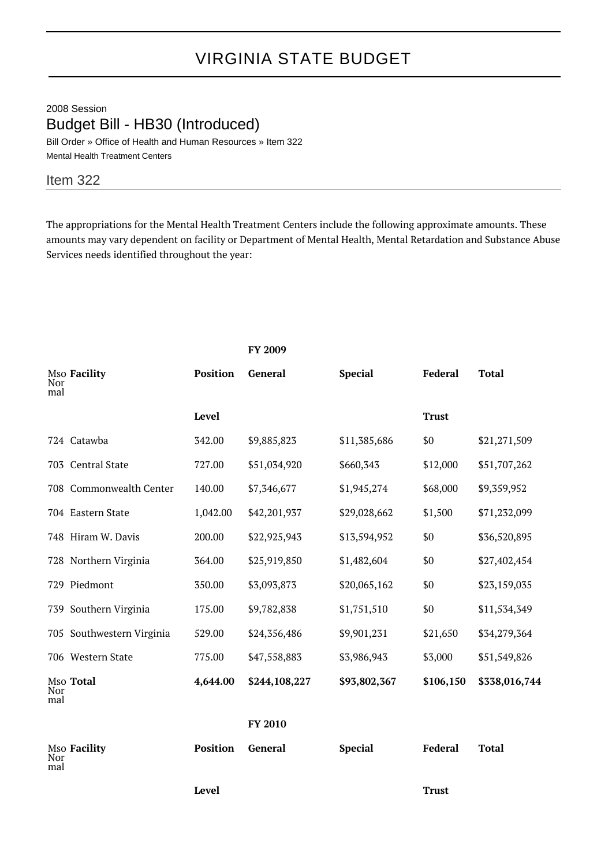## VIRGINIA STATE BUDGET

2008 Session Budget Bill - HB30 (Introduced) Bill Order » Office of Health and Human Resources » Item 322

Mental Health Treatment Centers

## Item 322

The appropriations for the Mental Health Treatment Centers include the following approximate amounts. These amounts may vary dependent on facility or Department of Mental Health, Mental Retardation and Substance Abuse Services needs identified throughout the year:

|            |                           |                 | FY 2009       |                |              |               |
|------------|---------------------------|-----------------|---------------|----------------|--------------|---------------|
| Nor<br>mal | Mso Facility              | <b>Position</b> | General       | <b>Special</b> | Federal      | <b>Total</b>  |
|            |                           | <b>Level</b>    |               |                | <b>Trust</b> |               |
|            | 724 Catawba               | 342.00          | \$9,885,823   | \$11,385,686   | \$0          | \$21,271,509  |
|            | 703 Central State         | 727.00          | \$51,034,920  | \$660,343      | \$12,000     | \$51,707,262  |
|            | 708 Commonwealth Center   | 140.00          | \$7,346,677   | \$1,945,274    | \$68,000     | \$9,359,952   |
|            | 704 Eastern State         | 1,042.00        | \$42,201,937  | \$29,028,662   | \$1,500      | \$71,232,099  |
|            | 748 Hiram W. Davis        | 200.00          | \$22,925,943  | \$13,594,952   | \$0          | \$36,520,895  |
|            | 728 Northern Virginia     | 364.00          | \$25,919,850  | \$1,482,604    | \$0          | \$27,402,454  |
|            | 729 Piedmont              | 350.00          | \$3,093,873   | \$20,065,162   | \$0          | \$23,159,035  |
|            | 739 Southern Virginia     | 175.00          | \$9,782,838   | \$1,751,510    | \$0          | \$11,534,349  |
|            | 705 Southwestern Virginia | 529.00          | \$24,356,486  | \$9,901,231    | \$21,650     | \$34,279,364  |
|            | 706 Western State         | 775.00          | \$47,558,883  | \$3,986,943    | \$3,000      | \$51,549,826  |
| Nor<br>mal | Mso Total                 | 4,644.00        | \$244,108,227 | \$93,802,367   | \$106,150    | \$338,016,744 |
|            |                           |                 | FY 2010       |                |              |               |
| Nor<br>mal | Mso Facility              | <b>Position</b> | General       | <b>Special</b> | Federal      | <b>Total</b>  |
|            |                           | Level           |               |                | <b>Trust</b> |               |